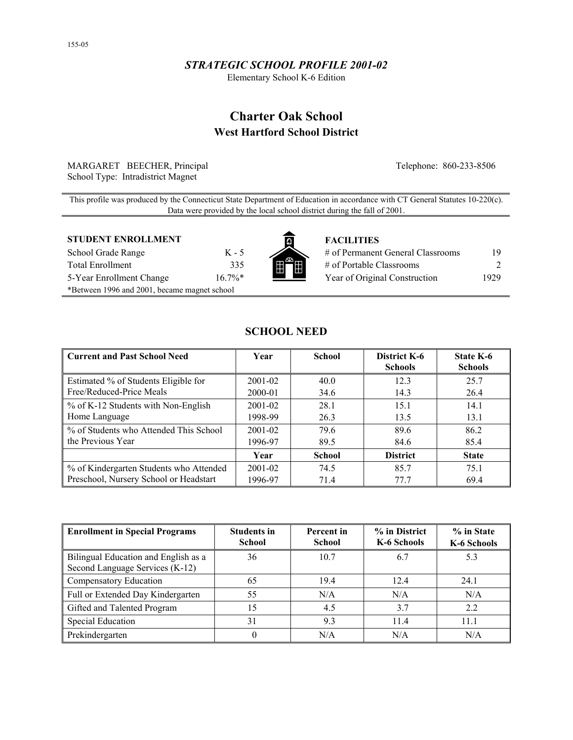## *STRATEGIC SCHOOL PROFILE 2001-02*

Elementary School K-6 Edition

# **Charter Oak School West Hartford School District**

MARGARET BEECHER, Principal Telephone: 860-233-8506 School Type: Intradistrict Magnet

This profile was produced by the Connecticut State Department of Education in accordance with CT General Statutes 10-220(c). Data were provided by the local school district during the fall of 2001.

#### **STUDENT ENROLLMENT THE FACILITIES**

| School Grade Range                           | к.    |
|----------------------------------------------|-------|
| <b>Total Enrollment</b>                      | 3     |
| 5-Year Enrollment Change                     | 16.79 |
| *Between 1996 and 2001, became magnet school |       |



| School Grade Range       | K - 5     |                          | # of Permanent General Classrooms | 19.   |
|--------------------------|-----------|--------------------------|-----------------------------------|-------|
| Total Enrollment         | 335       | 【開合開】                    | # of Portable Classrooms          |       |
| 5-Year Enrollment Change | $16.7\%*$ | $\overline{\phantom{a}}$ | Year of Original Construction     | 1929. |

## **SCHOOL NEED**

| <b>Current and Past School Need</b>     | Year        | <b>School</b> | District K-6<br><b>Schools</b> | State K-6<br><b>Schools</b> |
|-----------------------------------------|-------------|---------------|--------------------------------|-----------------------------|
| Estimated % of Students Eligible for    | $2001 - 02$ | 40.0          | 12.3                           | 25.7                        |
| Free/Reduced-Price Meals                | 2000-01     | 34.6          | 14.3                           | 26.4                        |
| % of K-12 Students with Non-English     | $2001 - 02$ | 28.1          | 15.1                           | 14.1                        |
| Home Language                           | 1998-99     | 26.3          | 13.5                           | 13.1                        |
| % of Students who Attended This School  | $2001 - 02$ | 79.6          | 89.6                           | 86.2                        |
| the Previous Year                       | 1996-97     | 89.5          | 84.6                           | 85.4                        |
|                                         | Year        | <b>School</b> | <b>District</b>                | <b>State</b>                |
| % of Kindergarten Students who Attended | $2001 - 02$ | 74.5          | 85.7                           | 75.1                        |
| Preschool, Nursery School or Headstart  | 1996-97     | 71.4          | 77.7                           | 69.4                        |

| Enrollment in Special Programs                                          | <b>Students in</b><br><b>School</b> | Percent in<br><b>School</b> | % in District<br>K-6 Schools | % in State<br>K-6 Schools |
|-------------------------------------------------------------------------|-------------------------------------|-----------------------------|------------------------------|---------------------------|
| Bilingual Education and English as a<br>Second Language Services (K-12) | 36                                  | 10.7                        | 6.7                          | 5.3                       |
| Compensatory Education                                                  | 65                                  | 19.4                        | 12.4                         | 24.1                      |
| Full or Extended Day Kindergarten                                       | 55                                  | N/A                         | N/A                          | N/A                       |
| Gifted and Talented Program                                             | 15                                  | 4.5                         | 3.7                          | 2.2                       |
| <b>Special Education</b>                                                | 31                                  | 9.3                         | 11.4                         | 11.1                      |
| Prekindergarten                                                         | 0                                   | N/A                         | N/A                          | N/A                       |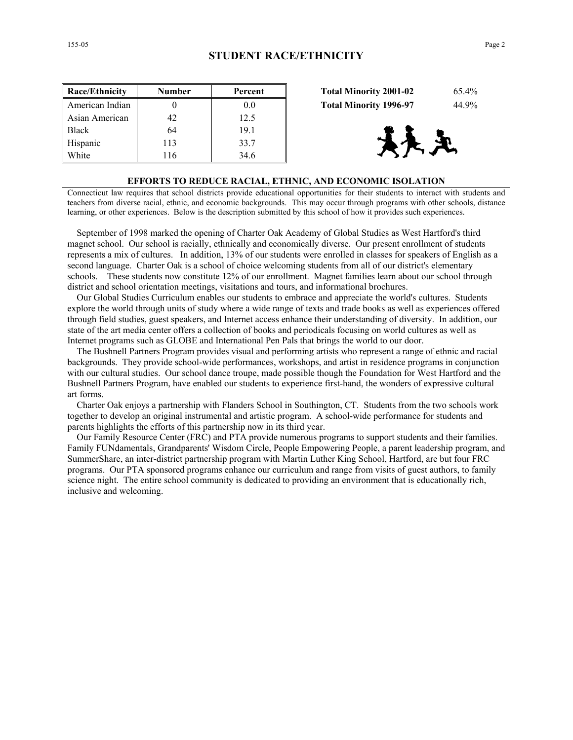| Race/Ethnicity  | <b>Number</b> | Percent | <b>Total Minority 2001-02</b><br>65.4% |
|-----------------|---------------|---------|----------------------------------------|
| American Indian |               | 0.0     | 44.9%<br><b>Total Minority 1996-97</b> |
| Asian American  | 42            | 12.5    |                                        |
| <b>Black</b>    | 64            | 19.1    |                                        |
| Hispanic        | 113           | 33.7    | 天义                                     |
| White           | 16            | 34.6    |                                        |

| <b>Total Minority 2001-02</b> | 65.4% |
|-------------------------------|-------|
| <b>Total Minority 1996-97</b> | 44.9% |



#### **EFFORTS TO REDUCE RACIAL, ETHNIC, AND ECONOMIC ISOLATION**

Connecticut law requires that school districts provide educational opportunities for their students to interact with students and teachers from diverse racial, ethnic, and economic backgrounds. This may occur through programs with other schools, distance learning, or other experiences. Below is the description submitted by this school of how it provides such experiences.

 September of 1998 marked the opening of Charter Oak Academy of Global Studies as West Hartford's third magnet school. Our school is racially, ethnically and economically diverse. Our present enrollment of students represents a mix of cultures. In addition, 13% of our students were enrolled in classes for speakers of English as a second language. Charter Oak is a school of choice welcoming students from all of our district's elementary schools. These students now constitute 12% of our enrollment. Magnet families learn about our school through district and school orientation meetings, visitations and tours, and informational brochures.

 Our Global Studies Curriculum enables our students to embrace and appreciate the world's cultures. Students explore the world through units of study where a wide range of texts and trade books as well as experiences offered through field studies, guest speakers, and Internet access enhance their understanding of diversity. In addition, our state of the art media center offers a collection of books and periodicals focusing on world cultures as well as Internet programs such as GLOBE and International Pen Pals that brings the world to our door.

 The Bushnell Partners Program provides visual and performing artists who represent a range of ethnic and racial backgrounds. They provide school-wide performances, workshops, and artist in residence programs in conjunction with our cultural studies. Our school dance troupe, made possible though the Foundation for West Hartford and the Bushnell Partners Program, have enabled our students to experience first-hand, the wonders of expressive cultural art forms.

 Charter Oak enjoys a partnership with Flanders School in Southington, CT. Students from the two schools work together to develop an original instrumental and artistic program. A school-wide performance for students and parents highlights the efforts of this partnership now in its third year.

 Our Family Resource Center (FRC) and PTA provide numerous programs to support students and their families. Family FUNdamentals, Grandparents' Wisdom Circle, People Empowering People, a parent leadership program, and SummerShare, an inter-district partnership program with Martin Luther King School, Hartford, are but four FRC programs. Our PTA sponsored programs enhance our curriculum and range from visits of guest authors, to family science night. The entire school community is dedicated to providing an environment that is educationally rich, inclusive and welcoming.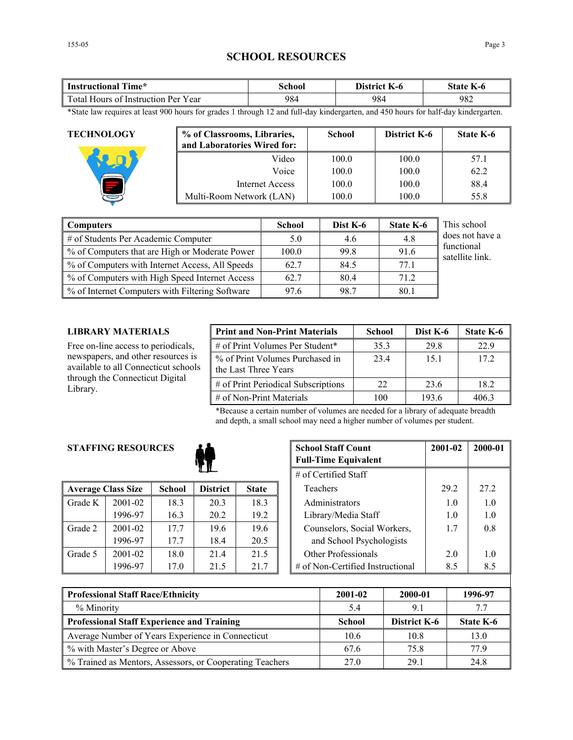## **SCHOOL RESOURCES**

| Time*                               | <b>chool</b> | District        | state |
|-------------------------------------|--------------|-----------------|-------|
| Instructional                       |              | $\mathbf{K}$ -0 | K-0   |
| Total Hours of Instruction Per Year | 984          | 984             | 982   |

\*State law requires at least 900 hours for grades 1 through 12 and full-day kindergarten, and 450 hours for half-day kindergarten.

| <b>TECHNOLOGY</b> | % of Classrooms, Libraries,<br>and Laboratories Wired for: | <b>School</b> | District K-6 | <b>State K-6</b> |
|-------------------|------------------------------------------------------------|---------------|--------------|------------------|
|                   | Video                                                      | 100.0         | 100.0        | 57.1             |
|                   | Voice                                                      | 100.0         | 100.0        | 62.2             |
|                   | Internet Access                                            | 100.0         | 100.0        | 88.4             |
|                   | Multi-Room Network (LAN)                                   | 100.0         | 100.0        | 55.8             |

| Computers                                       | <b>School</b> | Dist K-6 | <b>State K-6</b> | This school                   |
|-------------------------------------------------|---------------|----------|------------------|-------------------------------|
| # of Students Per Academic Computer             | 5.0           | 4.6      | 4.8              | does not have a               |
| % of Computers that are High or Moderate Power  | 100.0         | 99.8     | 91.6             | functional<br>satellite link. |
| % of Computers with Internet Access, All Speeds | 62.7          | 84.5     | 77.1             |                               |
| % of Computers with High Speed Internet Access  | 62.7          | 80.4     | 71.2             |                               |
| % of Internet Computers with Filtering Software | 97.6          | 98.7     | 80.1             |                               |

### **LIBRARY MATERIALS**

Free on-line access to periodicals, newspapers, and other resources is available to all Connecticut schools through the Connecticut Digital Library.

| <b>Print and Non-Print Materials</b>                    | <b>School</b> | Dist K-6 | State K-6 |
|---------------------------------------------------------|---------------|----------|-----------|
| # of Print Volumes Per Student*                         | 35.3          | 29.8     | 22.9      |
| % of Print Volumes Purchased in<br>the Last Three Years | 23.4          | 15.1     | 172       |
| # of Print Periodical Subscriptions                     | 22            | 23.6     | 18.2      |
| $\#$ of Non-Print Materials                             | 100           | 193.6    | 4063      |

\*Because a certain number of volumes are needed for a library of adequate breadth and depth, a small school may need a higher number of volumes per student.

## **STAFFING RESOURCES**



|         | <b>Average Class Size</b> | <b>School</b> | <b>District</b> | <b>State</b> |
|---------|---------------------------|---------------|-----------------|--------------|
| Grade K | 2001-02                   | 18.3          | 20.3            | 18.3         |
|         | 1996-97                   | 16.3          | 20.2            | 19.2         |
| Grade 2 | $2001 - 02$               | 177           | 19.6            | 19.6         |
|         | 1996-97                   | 17.7          | 18.4            | 20.5         |
| Grade 5 | 2001-02                   | 18.0          | 21.4            | 21.5         |
|         | 1996-97                   | 17.0          | 21.5            | 21.7         |

| <b>RESOURCES</b> |               | <b>School Staff Count</b><br><b>Full-Time Equivalent</b> | 2001-02      | 2000-01 |                                     |      |      |
|------------------|---------------|----------------------------------------------------------|--------------|---------|-------------------------------------|------|------|
|                  |               | # of Certified Staff                                     |              |         |                                     |      |      |
| ass Size         | <b>School</b> | <b>District</b>                                          | <b>State</b> |         | Teachers                            | 29.2 | 27.2 |
| 2001-02          | 18.3          | 20.3                                                     | 18.3         |         | Administrators                      | 1.0  | 1.0  |
| 1996-97          | 16.3          | 20.2                                                     | 19.2         |         | Library/Media Staff                 | 1.0  | 1.0  |
| 2001-02          | 17.7          | 19.6                                                     | 19.6         |         | Counselors, Social Workers,         | 1.7  | 0.8  |
| 1996-97          | 17.7          | 18.4                                                     | 20.5         |         | and School Psychologists            |      |      |
| 2001-02          | 18.0          | 21.4                                                     | 21.5         |         | Other Professionals                 | 2.0  | 1.0  |
| 1996-97          | 17.0          | 21.5                                                     | 21.7         |         | $\#$ of Non-Certified Instructional | 8.5  | 8.5  |

| <b>Professional Staff Race/Ethnicity</b>                 | 2001-02       | 2000-01      | 1996-97   |  |
|----------------------------------------------------------|---------------|--------------|-----------|--|
| % Minority                                               | 5.4           | 91           | 7.7       |  |
| <b>Professional Staff Experience and Training</b>        | <b>School</b> | District K-6 | State K-6 |  |
| Average Number of Years Experience in Connecticut        | 10.6          | 10.8         | 13.0      |  |
| % with Master's Degree or Above                          | 67.6          | 75.8         | 77 9      |  |
| % Trained as Mentors, Assessors, or Cooperating Teachers | 27.0          | 29.1         | 24.8      |  |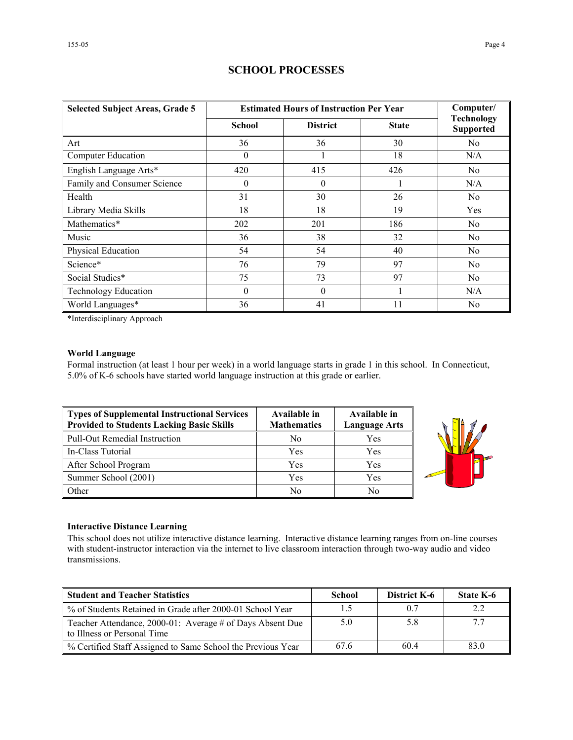| <b>Selected Subject Areas, Grade 5</b> | <b>Estimated Hours of Instruction Per Year</b> | Computer/       |              |                                       |
|----------------------------------------|------------------------------------------------|-----------------|--------------|---------------------------------------|
|                                        | <b>School</b>                                  | <b>District</b> | <b>State</b> | <b>Technology</b><br><b>Supported</b> |
| Art                                    | 36                                             | 36              | 30           | N <sub>0</sub>                        |
| <b>Computer Education</b>              | $\mathbf{0}$                                   |                 | 18           | N/A                                   |
| English Language Arts*                 | 420                                            | 415             | 426          | N <sub>0</sub>                        |
| Family and Consumer Science            | $\theta$                                       | $\theta$        |              | N/A                                   |
| Health                                 | 31                                             | 30              | 26           | N <sub>0</sub>                        |
| Library Media Skills                   | 18                                             | 18              | 19           | Yes                                   |
| Mathematics*                           | 202                                            | 201             | 186          | N <sub>0</sub>                        |
| Music                                  | 36                                             | 38              | 32           | No                                    |
| Physical Education                     | 54                                             | 54              | 40           | No.                                   |
| Science*                               | 76                                             | 79              | 97           | No                                    |
| Social Studies*                        | 75                                             | 73              | 97           | No                                    |
| <b>Technology Education</b>            | $\theta$                                       | $\theta$        |              | N/A                                   |
| World Languages*                       | 36                                             | 41              | 11           | N <sub>0</sub>                        |

## **SCHOOL PROCESSES**

\*Interdisciplinary Approach

#### **World Language**

Formal instruction (at least 1 hour per week) in a world language starts in grade 1 in this school. In Connecticut, 5.0% of K-6 schools have started world language instruction at this grade or earlier.

| Types of Supplemental Instructional Services<br>Provided to Students Lacking Basic Skills | Available in<br><b>Mathematics</b> | Available in<br><b>Language Arts</b> |
|-------------------------------------------------------------------------------------------|------------------------------------|--------------------------------------|
| Pull-Out Remedial Instruction                                                             | No                                 | Yes                                  |
| In-Class Tutorial                                                                         | Yes                                | Yes                                  |
| After School Program                                                                      | Yes                                | Yes                                  |
| Summer School (2001)                                                                      | Yes                                | Yes                                  |
| <b>Other</b>                                                                              | No                                 | No                                   |



#### **Interactive Distance Learning**

This school does not utilize interactive distance learning. Interactive distance learning ranges from on-line courses with student-instructor interaction via the internet to live classroom interaction through two-way audio and video transmissions.

| <b>Student and Teacher Statistics</b>                                                    | School | <b>District K-6</b> | <b>State K-6</b> |
|------------------------------------------------------------------------------------------|--------|---------------------|------------------|
| % of Students Retained in Grade after 2000-01 School Year                                |        | 0.7                 | 2.2              |
| Teacher Attendance, 2000-01: Average # of Days Absent Due<br>to Illness or Personal Time | 5.0    | 5.8                 |                  |
| % Certified Staff Assigned to Same School the Previous Year                              | 67.6   | 60.4                | 83.0             |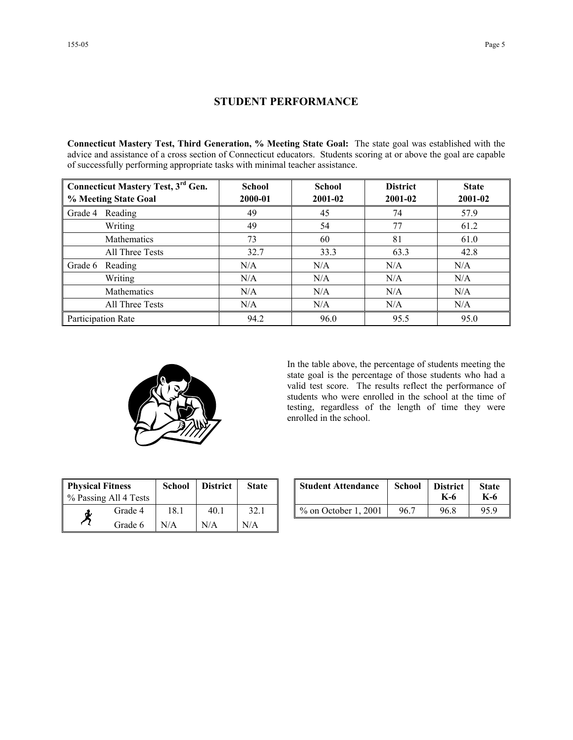## **STUDENT PERFORMANCE**

**Connecticut Mastery Test, Third Generation, % Meeting State Goal:** The state goal was established with the advice and assistance of a cross section of Connecticut educators. Students scoring at or above the goal are capable of successfully performing appropriate tasks with minimal teacher assistance.

| <b>Connecticut Mastery Test, 3rd Gen.</b> | <b>School</b> | <b>School</b> | <b>District</b> | <b>State</b> |
|-------------------------------------------|---------------|---------------|-----------------|--------------|
| % Meeting State Goal                      | 2000-01       | 2001-02       | 2001-02         | 2001-02      |
| Reading<br>Grade 4                        | 49            | 45            | 74              | 57.9         |
| Writing                                   | 49            | 54            | 77              | 61.2         |
| Mathematics                               | 73            | 60            | 81              | 61.0         |
| All Three Tests                           | 32.7          | 33.3          | 63.3            | 42.8         |
| Grade 6<br>Reading                        | N/A           | N/A           | N/A             | N/A          |
| Writing                                   | N/A           | N/A           | N/A             | N/A          |
| Mathematics                               | N/A           | N/A           | N/A             | N/A          |
| All Three Tests                           | N/A           | N/A           | N/A             | N/A          |
| Participation Rate                        | 94.2          | 96.0          | 95.5            | 95.0         |



In the table above, the percentage of students meeting the state goal is the percentage of those students who had a valid test score. The results reflect the performance of students who were enrolled in the school at the time of testing, regardless of the length of time they were enrolled in the school.

| <b>Physical Fitness</b><br>% Passing All 4 Tests |         | <b>School</b> | <b>District</b> | <b>State</b> |
|--------------------------------------------------|---------|---------------|-----------------|--------------|
|                                                  | Grade 4 | 18.1          | 40 1            | 32.1         |
|                                                  | Grade 6 | N/A           | N/A             | N/A          |

| ness<br>ll 4 Tests | School | <b>District</b> | <b>State</b> | <b>Student Attendance</b> | School | <b>District</b><br>K-6 | <b>State</b><br>K-6 |
|--------------------|--------|-----------------|--------------|---------------------------|--------|------------------------|---------------------|
| Grade 4            | 18.1   | 40.1            | 32.1         | $\%$ on October 1, 2001   | 96.7   | 96.8                   | 95.9                |